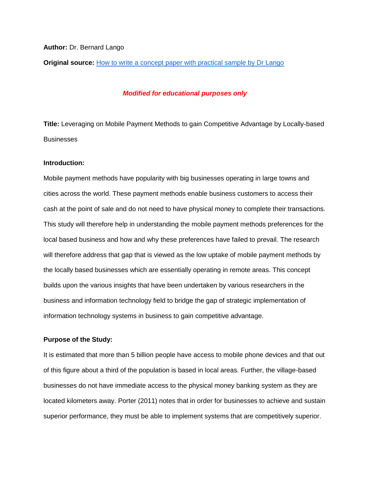#### **Author:** Dr. Bernard Lango

**Original source:** [How to write a concept paper with practical sample by Dr Lango](https://www.researchgate.net/publication/336150591_How_to_write_a_concept_paper_with_practical_sample_by_Dr_Lango)

#### *Modified for educational purposes only*

**Title:** Leveraging on Mobile Payment Methods to gain Competitive Advantage by Locally-based **Businesses** 

#### **Introduction:**

Mobile payment methods have popularity with big businesses operating in large towns and cities across the world. These payment methods enable business customers to access their cash at the point of sale and do not need to have physical money to complete their transactions. This study will therefore help in understanding the mobile payment methods preferences for the local based business and how and why these preferences have failed to prevail. The research will therefore address that gap that is viewed as the low uptake of mobile payment methods by the locally based businesses which are essentially operating in remote areas. This concept builds upon the various insights that have been undertaken by various researchers in the business and information technology field to bridge the gap of strategic implementation of information technology systems in business to gain competitive advantage.

#### **Purpose of the Study:**

It is estimated that more than 5 billion people have access to mobile phone devices and that out of this figure about a third of the population is based in local areas. Further, the village-based businesses do not have immediate access to the physical money banking system as they are located kilometers away. Porter (2011) notes that in order for businesses to achieve and sustain superior performance, they must be able to implement systems that are competitively superior.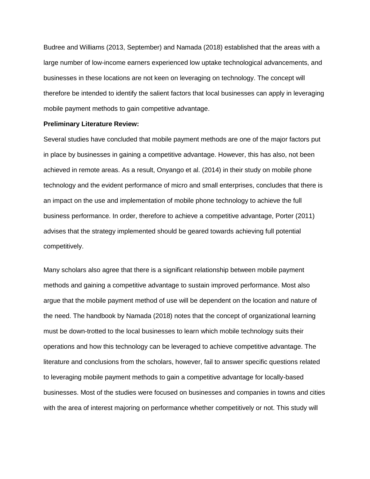Budree and Williams (2013, September) and Namada (2018) established that the areas with a large number of low-income earners experienced low uptake technological advancements, and businesses in these locations are not keen on leveraging on technology. The concept will therefore be intended to identify the salient factors that local businesses can apply in leveraging mobile payment methods to gain competitive advantage.

#### **Preliminary Literature Review:**

Several studies have concluded that mobile payment methods are one of the major factors put in place by businesses in gaining a competitive advantage. However, this has also, not been achieved in remote areas. As a result, Onyango et al. (2014) in their study on mobile phone technology and the evident performance of micro and small enterprises, concludes that there is an impact on the use and implementation of mobile phone technology to achieve the full business performance. In order, therefore to achieve a competitive advantage, Porter (2011) advises that the strategy implemented should be geared towards achieving full potential competitively.

Many scholars also agree that there is a significant relationship between mobile payment methods and gaining a competitive advantage to sustain improved performance. Most also argue that the mobile payment method of use will be dependent on the location and nature of the need. The handbook by Namada (2018) notes that the concept of organizational learning must be down-trotted to the local businesses to learn which mobile technology suits their operations and how this technology can be leveraged to achieve competitive advantage. The literature and conclusions from the scholars, however, fail to answer specific questions related to leveraging mobile payment methods to gain a competitive advantage for locally-based businesses. Most of the studies were focused on businesses and companies in towns and cities with the area of interest majoring on performance whether competitively or not. This study will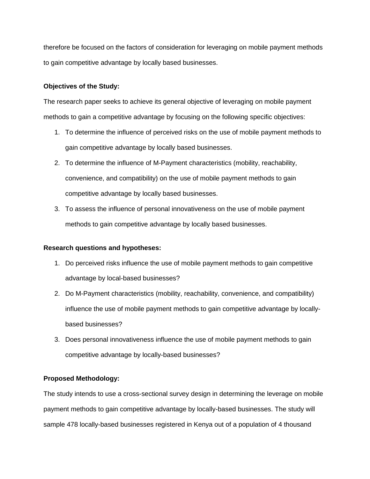therefore be focused on the factors of consideration for leveraging on mobile payment methods to gain competitive advantage by locally based businesses.

## **Objectives of the Study:**

The research paper seeks to achieve its general objective of leveraging on mobile payment methods to gain a competitive advantage by focusing on the following specific objectives:

- 1. To determine the influence of perceived risks on the use of mobile payment methods to gain competitive advantage by locally based businesses.
- 2. To determine the influence of M-Payment characteristics (mobility, reachability, convenience, and compatibility) on the use of mobile payment methods to gain competitive advantage by locally based businesses.
- 3. To assess the influence of personal innovativeness on the use of mobile payment methods to gain competitive advantage by locally based businesses.

## **Research questions and hypotheses:**

- 1. Do perceived risks influence the use of mobile payment methods to gain competitive advantage by local-based businesses?
- 2. Do M-Payment characteristics (mobility, reachability, convenience, and compatibility) influence the use of mobile payment methods to gain competitive advantage by locallybased businesses?
- 3. Does personal innovativeness influence the use of mobile payment methods to gain competitive advantage by locally-based businesses?

# **Proposed Methodology:**

The study intends to use a cross-sectional survey design in determining the leverage on mobile payment methods to gain competitive advantage by locally-based businesses. The study will sample 478 locally-based businesses registered in Kenya out of a population of 4 thousand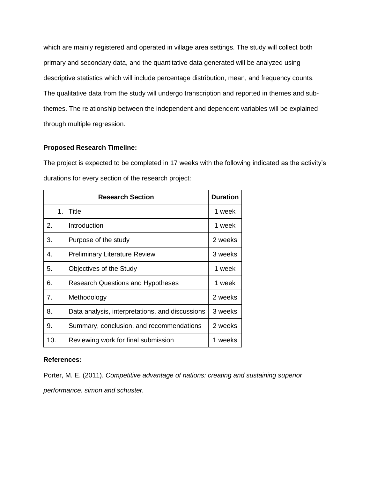which are mainly registered and operated in village area settings. The study will collect both primary and secondary data, and the quantitative data generated will be analyzed using descriptive statistics which will include percentage distribution, mean, and frequency counts. The qualitative data from the study will undergo transcription and reported in themes and subthemes. The relationship between the independent and dependent variables will be explained through multiple regression.

### **Proposed Research Timeline:**

The project is expected to be completed in 17 weeks with the following indicated as the activity's durations for every section of the research project:

|     |    | <b>Research Section</b>                         | <b>Duration</b> |
|-----|----|-------------------------------------------------|-----------------|
|     | 1. | Title                                           | 1 week          |
| 2.  |    | Introduction                                    | 1 week          |
| 3.  |    | Purpose of the study                            | 2 weeks         |
| 4.  |    | <b>Preliminary Literature Review</b>            | 3 weeks         |
| 5.  |    | Objectives of the Study                         | 1 week          |
| 6.  |    | <b>Research Questions and Hypotheses</b>        | 1 week          |
| 7.  |    | Methodology                                     | 2 weeks         |
| 8.  |    | Data analysis, interpretations, and discussions | 3 weeks         |
| 9.  |    | Summary, conclusion, and recommendations        | 2 weeks         |
| 10. |    | Reviewing work for final submission             | 1 weeks         |

## **References:**

Porter, M. E. (2011). *Competitive advantage of nations: creating and sustaining superior performance. simon and schuster.*